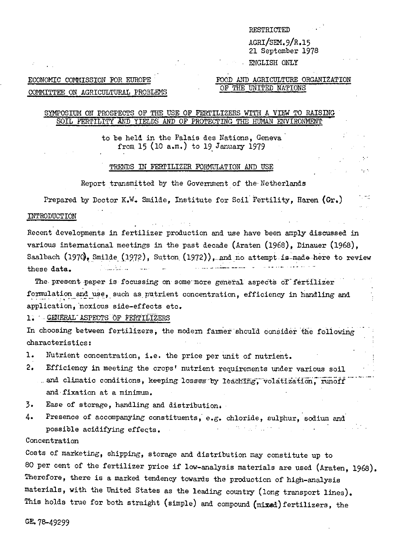#### RESTRICTED

AGRI/SEM.9/R.15 21 September 1978

#### ENGLISH ONLY

# ECONOMIC COMMISSION FOR EUROPE COMMITTEE ON AGRICULTURAL PROBLEMS

# FOOD AND AGRICULTURE ORGANIZATION OF THE UNITED NATIONS

# SYMPOSIUM ON PROSPECTS OF THE USE OF FERTILIZERS WITH A VIEW TO RAISING SOIL FERTILITY AND YIELDS AND OF PROTECTING THE HUMAN ENVIRONMENT

to be held in the Palais des Nations, Geneva from 15 (10 a.m.) to 19 January 1979

#### TRENDS IN FERTILIZER FORMULATION AND USE

Report transmitted by the Government of the- Netherlands

Prepared by Doctor K.W. Smilde, Institute for Soil Fertility, Haren  $(Gr_*)$ INTRODUCTION

Recent developments in fertilizer production and use have been amply discussed in various international meetings in the past decade (Araten (1968), Dinauer (1968), Saalbach  $(1970)$ , Smilde  $(1972)$ , Sutton  $(1972)$ ), and no attempt is made here to review these data.

The. present paper is focussing on some'more general aspects of'fertilizer formulation and use, such as nutrient concentration, efficiency in handling and application, noxious side-effects etc.

#### 1. GENERAL ASPECTS OF FERTILIZERS

In choosing between fertilizers, the modem farmer should consider'the following characteristics:

- 1. Nutrient concentration, i.e. the price per unit of nutrient.
- Efficiency in meeting the crops' nutrient requirements under various soil . and climatic conditions, keeping losses by leaching, volatization, runoff and fixation at a minimum. 2.
- Ease of storage, handling and distribution. 3.
- Presence of accompanying constituents, e.g. chloride, sulphur, sodium and possible acidifying effects. • Concentration 4.

Costs of marketing, shipping, storage and distribution may constitute up to 80 per cent of the fertilizer price if low-analysis materials are used (Araten, 1968). Therefore, there is a marked tendency towards the production of high-analysis materials, with the United States as the leading country (long transport lines). This holds true for both straight (simple) and compound (mixed) fertilizers, the

GE.78-49299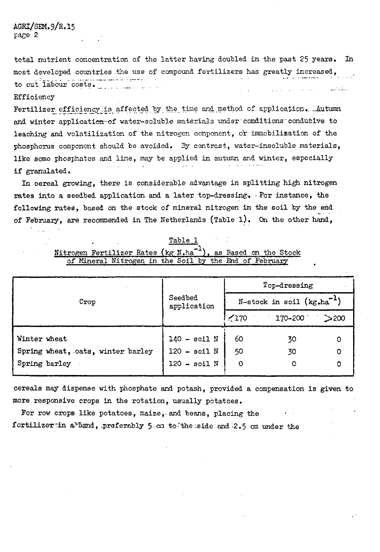AGRI/SEM.9/R.15 page 2

total nutrient concentration of the latter having doubled in the past 25 years. In most developed countries .the use of compound fertilizers has greatly increased, to cut labour costs. a salah salah sa

# Efficiency

Fertilizer efficiency is affected by the time and method of application. Autumn and winter application-of water-soluble materials under conditions conducive to leaching and volatilization of the nitrogen component, or immobilization of the phosphorus component should be avoided. Sy contrast, water-insoluble materials, like some phosphates and lime, may be applied in autumn and winter, especially if granulated.

In cereal growing, there is considerable advantage in splitting high nitrogen rates into a seedbed application and a later top-dressing. • Por instance, the following rates, based on the stock of mineral nitrogen in the soil by the end of February, are recommended in The Netherlands (Table l). On the other hand,

| Table |  |
|-------|--|
|       |  |
|       |  |

# Nitrogen Fertilizer Rates (kg N.ha<sup>-1</sup>), as Based on the Stock of Mineral Nitrogen in the Soil by the End of February

| Стор                              | Seedbed<br>application | Top-dressing                   |         |      |
|-----------------------------------|------------------------|--------------------------------|---------|------|
|                                   |                        | N-stock in soil $(kg.ha^{-1})$ |         |      |
|                                   |                        | $\frac{170}{2}$                | 170-200 | >200 |
| Winter wheat                      | $140 - \text{soil N}$  | 60                             | 30      |      |
| Spring wheat, oats, winter barley | $120 - \text{soil N}$  | 50                             | 30      |      |
| Spring barley                     | $120 - \text{soil N}$  | O                              | Ω       |      |

cereals may dispense with phosphate and potash, provided a compensation is given to more responsive crops in the rotation, usually potatoes.

For row crops like potatoes, maize, and beans, placing the

fertilizer in a Band, preferably  $5.$  cm to "the side and  $2.5$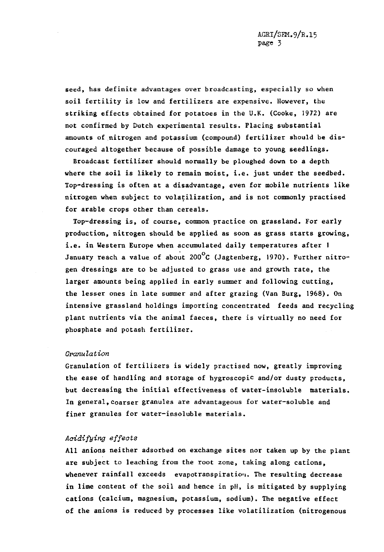seed, has definite advantages over broadcasting, especially so when soil fertility is low and fertilizers are expensive. However, the striking effects obtained for potatoes in the U.K. (Cooke, 1972) are not confirmed by Dutch experimental results. Placing substantial amounts of nitrogen and potassium (compound) fertilizer should be discouraged altogether because of possible damage to young seedlings.

Broadcast fertilizer should normally be ploughed down to a depth where the soil is likely to remain moist, i.e. just under the seedbed. Top-dressing is often at a disadvantage, even for mobile nutrients like nitrogen when subject to volatilization, and is not commonly practised for arable crops other than cereals.

Top-dressing is, of course, common practice on grassland. For early production, nitrogen should be applied as soon as grass starts growing, i.e. in Western Europe when accumulated daily temperatures after 1 January reach a value of about 200°C (Jagtenberg, 1970). Further nitrogen dressings are to be adjusted to grass use and growth rate, the larger amounts being applied in early summer and following cutting, the lesser ones in late summer and after grazing (Van Burg, 1968). On intensive grassland holdings importing concentrated feeds and recycling plant nutrients via the animal faeces, there is virtually no need for phosphate and potash fertilizer.

#### *Granulation*

Granulation of fertilizers is widely practised now, greatly improving the ease of handling and storage of hygroscopic and/or dusty products, but decreasing the initial effectiveness of water-insoluble materials. In general, coarser granules are advantageous for water-soluble and finer granules for water-insoluble materials.

# *Acidifying effects*

All anions neither adsorbed on exchange sites nor taken up by the plant are subject to leaching from the root zone, taking along cations, whenever rainfall exceeds evapotranspiration. The resulting decrease in lime content of the soil and hence in pH, is mitigated by supplying cations (calcium, magnesium, potassium, sodium). The negative effect of the anions is reduced by processes like volatilization (nitrogenous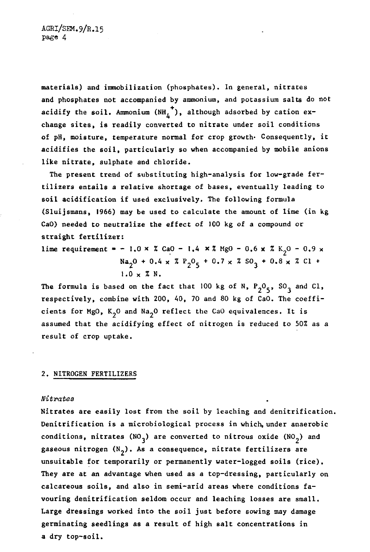materials) and immobilization (phosphates). In general, nitrates and phosphates not accompanied by ammonium, and potassium salts do not acidify the soil. Ammonium  $(NH_{\mu}^+)$ , although adsorbed by cation exchange sites, is readily converted to nitrate under soil conditions of pH, moisture, temperature normal for crop growth- Consequently, it acidifies the soil, particularly so when accompanied by mobile anions like nitrate, sulphate and chloride.

The present trend of substituting high-analysis for low-grade fertilizers entails a relative shortage of bases, eventually leading to soil acidification if used exclusively. The following formula (Sluijsmans, 1966) may be used to calculate the amount of lime (in kg CaO) needed to neutralize the effect of 100 kg of a compound or straight fertilizer:

lime requirement =  $-1.0 \times 2$  CaO - 1.4  $\times 2$  MgO  $Na<sub>2</sub>O + 0.4 \times %R<sub>2</sub>O<sub>5</sub> + 0.7 \times %$  $1.0 \times 7 N$ .

The formula is based on the fact that 100 kg of N, P respectively, combine with 200, 40, 70 and 80 kg of CaO. The coefficients for MgO,  $K_2$ O and Na<sub>2</sub>O reflect the CaO equivalences. It is assumed that the acidifying effect of nitrogen is reduced to 50% as a result of crop uptake.

#### 2. NITROGEN FERTILIZERS

# *Nitrates*

Nitrates are easily lost from the soil by leaching and denitrification. Denitrification is a microbiological process in which, under anaerobic conditions, nitrates  $(NO_3)$  are converted to nitrous oxide  $(NO_2)$  and gaseous nitrogen  $(N_2)$ . As a consequence, nitrate fertilizers are unsuitable for temporarily or permanently water-logged soils (rice). They are at an advantage when used as a top-dressing, particularly on calcareous soils, and also in semi-arid areas where conditions favouring denitrification seldom occur and leaching losses are small. Large dressings worked into the soil just before sowing may damage germinating seedlings as a result of high salt concentrations in a dry top-soil.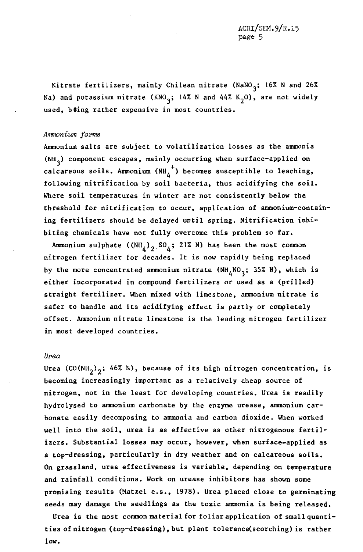Nitrate fertilizers, mainly Chilean nitrate (NaNO<sub>3</sub>; 16% N and 26%) Na) and potassium nitrate (KNO<sub>3</sub>; 14% N and 44% K<sub>2</sub>O), are not widely used, being rather expensive in most countries.

#### *Ammonium forms*

Ammonium salts are subject to volatilization losses as the ammonia (NH<sub>3</sub>) component escapes, mainly occurring when surface-applied on calcareous soils. Ammonium  $(NH_4^+)$  becomes susceptible to leaching, following nitrification by soil bacteria, thus acidifying the soil. Where soil temperatures in winter are not consistently below the threshold for nitrification to occur, application of ammonium-containing fertilizers should be delayed until spring. Nitrification inhibiting chemicals have not fully overcome this problem so far.

Ammonium sulphate ( $(NH_4)_{2}$ , SO<sub>4</sub>; 21% N) has been the most common nitrogen fertilizer for decades. It is now rapidly being replaced by the more concentrated ammonium nitrate (NH<sub>A</sub>NO<sub>3</sub>; 35% N), which is either incorporated in compound fertilizers or used as a (prilled) straight fertilizer. When mixed with limestone, ammonium nitrate is safer to handle and its acidifying effect is partly or completely offset. Ammonium nitrate limestone is the leading nitrogen fertilizer in most developed countries.

#### *Uvea*

Urea (CO(NH<sub>2</sub>)<sub>2</sub>; 46% N), because of its high nitrogen concentration, is becoming increasingly important as a relatively cheap source of nitrogen, not in the least for developing countries. Urea is readily hydrolysed to ammonium carbonate by the enzyme urease, ammonium carbonate easily decomposing to ammonia and carbon dioxide. When worked well into the soil, urea is as effective as other nitrogenous fertilizers. Substantial losses may occur, however, when surface-applied as a top-dressing, particularly in dry weather and on calcareous soils. On grassland, urea effectiveness is variable, depending on temperature and rainfall conditions. Work on urease inhibitors has shown some promising results (Matzel c.s., 1978). Urea placed close to germinating seeds may damage the seedlings as the toxic ammonia is being released.

Urea is the most common material for foliar application of small quantities of nitrogen (top-dressing), but plant tolerance(scorching) is rather low.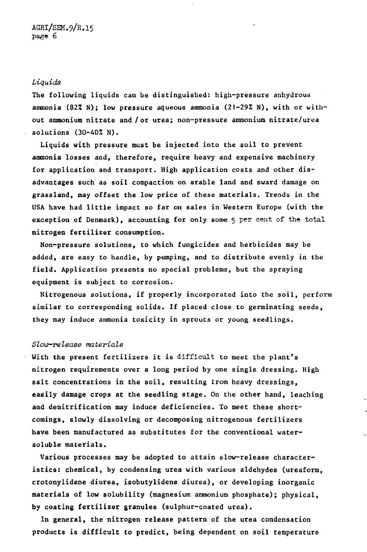## *Liquids*

The following liquids can be distinguished: high-pressure anhydrous ammonia (82% N); low pressure aqueous ammonia (21-29% N), with or without ammonium nitrate and / or urea; non-pressure ammonium nitrate/urea solutions (30-40% N).

Liquids with pressure must be injected into the soil to prevent ammonia losses and, therefore, require heavy and expensive machinery for application and transport. High application costs and other disadvantages such as soil compaction on arable land and sward damage on grassland, may offset the low price of these materials. Trends in the USA have had little impact so far on sales in Western Europe (with the exception of Denmark), accounting for only some 5 per cent of the total nitrogen fertilizer consumption.

Non-pressure solutions, to which fungicides and herbicides may be added, are easy to handle, by pumping, and to distribute evenly in the field. Application presents no special problems, but the spraying equipment is subject to corrosion.

Nitrogenous solutions, if properly incorporated into the soil, perform similar to corresponding solids. If placed close to germinating seeds, they may induce ammonia toxicity in sprouts or young seedlings.

### *Slow-release materials*

With the present fertilizers it is difficult to meet the plant's nitrogen requirements over a long period by one single dressing. High salt concentrations in the soil, resulting from heavy dressings, easily damage crops at the seedling stage. On the other hand, leaching and denitrification may induce deficiencies. To meet these shortcomings, slowly dissolving or decomposing nitrogenous fertilizers have been manufactured as substitutes for the conventional watersoluble materials.

Various processes may be adopted to attain slow-release characteristics: chemical, by condensing urea with various aldehydes (ureaform, crotonylidene diurea, isobutylidene diurea), or developing inorganic materials of low solubility (magnesium ammonium phosphate); physical, by coating fertilizer granules (sulphur-coated urea).

In general, the nitrogen release pattern of the urea condensation products is difficult to predict, being dependent on soil temperature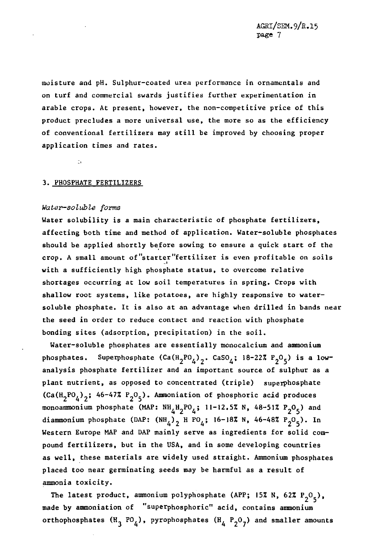moisture and pH. Sulphur-coated urea performance in ornamentals and on turf and commercial swards justifies further experimentation in arable crops. At present, however, the non-competitive price of this product precludes a more universal use, the more so as the efficiency of conventional fertilizers may still be improved by choosing proper application times and rates.

#### 3. PHOSPHATE FERTILIZERS

#### *Water-soluble forms*

 $\bar{\mathbb{D}}$ 

Water solubility is a main characteristic of phosphate fertilizers, affecting both time and method of application. Water-soluble phosphates should be applied shortly before sowing to ensure a quick start of the crop. A small amount of"starter"fertilizer is even profitable on soils with a sufficiently high phosphate status, to overcome relative shortages occurring at low soil temperatures in spring. Crops with shallow root systems, like potatoes, are highly responsive to watersoluble phosphate. It is also at an advantage when drilled in bands near the seed in order to reduce contact and reaction with phosphate bonding sites (adsorption, precipitation) in the soil.

Water-soluble phosphates are essentially monocalcium and ammonium phosphates. Superphosphate  $(Ca(H_2PO_A)_{2}$ . CaSO<sub>4</sub>; 18-22% P<sub>2</sub>O<sub>5</sub>) is a lowanalysis phosphate fertilizer and an important source of sulphur as a plant nutrient, as opposed to concentrated (triple) superphosphate  $(Ca(H_2PO_A)_{2}; 46-47% P_{2}O_5)$ . Ammoniation of phosphoric acid produces monoammonium phosphate (MAP:  $NH_{\Delta}H_2PO_L$ ; 11-12.5% N, 48-51% P<sub>2</sub>O<sub>5</sub>) and diammonium phosphate (DAP:  $(NH_A)$ , H PO<sub>4</sub>; 16-18% N, 46-48% P<sub>2</sub>O<sub>5</sub>). In Western Europe MAP and DAP mainly serve as ingredients for solid compound fertilizers, but in the USA, and in some developing countries as well, these materials are widely used straight. Ammonium phosphates placed too near germinating seeds may be harmful as a result of ammonia toxicity.

The latest product, ammonium polyphosphate (APP; 15% N, 62% P<sub>2</sub>O<sub>5</sub>), made by ammoniation of "superphosphoric" acid, contains ammonium orthophosphates  $(H_3 PO_4)$ , pyrophosphates  $(H_4 P_2 O_7)$  and smaller amounts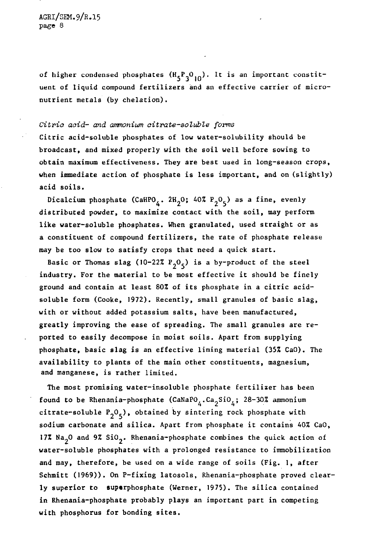AGRI/SEM.9/R.15 page 8

of higher condensed phosphates  $(H_5P_3O_{10})$ . It is an important constituent of liquid compound fertilizers and an effective carrier of micronutrient metals (by chelation).

# *Citric acid- and ammonium citrate-soluble forms*

Citric acid-soluble phosphates of low water-solubility should be broadcast, and mixed properly with the soil well before sowing to obtain maximum effectiveness. They are best used in long-season crops, when immediate action of phosphate is less important, and on (slightly) acid soils.

Dicalcium phosphate (CaHPO<sub>4</sub>. 2H<sub>2</sub>O; 40% P<sub>2</sub>O<sub>5</sub>) as a fine, evenly distributed powder, to maximize contact with the soil, may perform like water-soluble phosphates. When granulated, used straight or as a constituent of compound fertilizers, the rate of phosphate release may be too slow to satisfy crops that need a quick start.

Basic or Thomas slag (10-22%  $P^0$ <sub>2</sub>) is a by-product of the steel industry. For the material to be most effective it should be finely ground and contain at least 80% of its phosphate in a citric acidsoluble form (Cooke, 1972). Recently, small granules of basic slag, with or without added potassium salts, have been manufactured, greatly improving the ease of spreading. The small granules are reported to easily decompose in moist soils. Apart from supplying phosphate, basic slag is an effective liming material (35% CaO). The availability to plants of the main other constituents, magnesium, and manganese, is rather limited.

The most promising water-insoluble phosphate fertilizer has been found to be Rhenania-phosphate (CaNaPO<sub> $\Lambda$ </sub>.Ca<sub>2</sub>SiO<sub> $\Lambda$ </sub>; 28-30% ammonium citrate-soluble  $P_0 O_5$ , obtained by sintering rock phosphate with sodium carbonate and silica. Apart from phosphate it contains 40% CaO, 17% Na<sub>2</sub>0 and 9% SiO<sub>2</sub>. Rhenania-phosphate combines the quick action of water-soluble phosphates with a prolonged resistance to immobilization and may, therefore, be used on a wide range of soils (Fig. 1, after Schmitt (1969)). On P-fixing latosols, Rhenania-phosphate proved clearly superior to superphosphate (Werner, 1975). The silica contained in Rhenania-phosphate probably plays an important part in competing with phosphorus for bonding sites.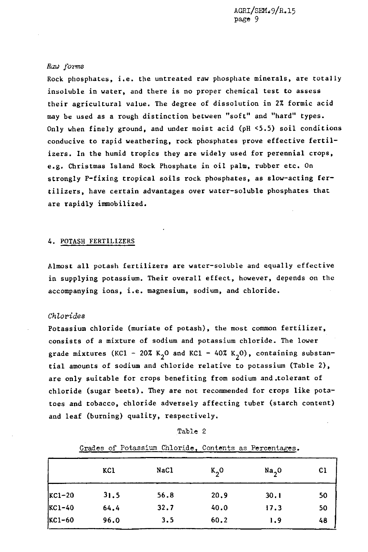#### *Rau forms*

Rock phosphates, i.e. the untreated raw phosphate minerals, are totally insoluble in water, and there is no proper chemical test to assess their agricultural value. The degree of dissolution in 2% formic acid may be used as a rough distinction between "soft" and "hard" types. Only when finely ground, and under moist acid (pH <5.5) soil conditions conducive to rapid weathering, rock phosphates prove effective fertilizers. In the humid tropics they are widely used for perennial crops, e.g. Christmas Island Rock Phosphate in oil palm, rubber etc. On strongly P-fixing tropical soils rock phosphates, as slow-acting fertilizers, have certain advantages over water-soluble phosphates that are rapidly immobilized.

# 4. POTASH FERTILIZERS

Almost all potash fertilizers are water-soluble and equally effective in supplying potassium. Their overall effect, however, depends on the accompanying ions, i.e. magnesium, sodium, and chloride.

#### *Chlorides*

Potassium chloride (muriate of potash), the most common fertilizer, consists of a mixture of sodium and potassium chloride. The lower grade mixtures (KCl - 20% K<sub>2</sub>O and KCl - 40% K<sub>2</sub>O), containing substantial amounts of sodium and chloride relative to potassium (Table 2), are only suitable for crops benefiting from sodium and-tolerant of chloride (sugar beets). They are not recommended for crops like potatoes and tobacco, chloride adversely affecting tuber (starch content) and leaf (burning) quality, respectively.

| л<br><b>D</b> L |  |
|-----------------|--|
|                 |  |

|        | KC1  | NaC1 | $K_{2}$ O | Na <sub>2</sub> O | c <sub>1</sub> |
|--------|------|------|-----------|-------------------|----------------|
| KC1-20 | 31.5 | 56.8 | 20.9      | 30.1              | 50             |
| KC1-40 | 64.4 | 32.7 | 40.0      | 17.3              | 50             |
| KC1-60 | 96.0 | 3.5  | 60.2      | 1.9               | 48             |

# Grades of Potassium Chloride, Contents as Percentages.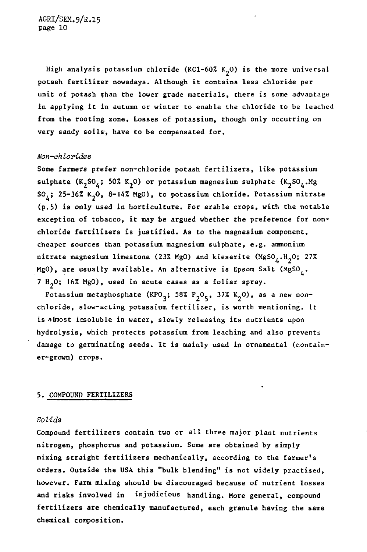High analysis potassium chloride (KCl-60% K<sub>2</sub>O) is the more universal potash fertilizer nowadays. Although it contains less chloride per unit of potash than the lower grade materials, there is some advantage in applying it in autumn or winter to enable the chloride to be leached from the rooting zone. Losses of potassium, though only occurring on very sandy soils', have to be compensated for.

#### *Non-ahlorides*

Some farmers prefer non-chloride potash fertilizers, like potassium sulphate  $(K_2SO_4; 50\% K_2O)$  or potassium magnesium sulphate  $(K_2SO_4, Mg)$ SO<sub> $\Lambda$ </sub>; 25-36% K<sub>2</sub>O, 8-14% MgO), to potassium chloride. Potassium nitrate (p.5) is only used in horticulture. For arable crops, with the notable exception of tobacco, it may be argued whether the preference for nonchloride fertilizers is justified. As to the magnesium component, cheaper sources than potassium magnesium sulphate, e.g. ammonium nitrate magnesium limestone (23% MgO) and kieserite  $(MgSO_4,H_2O; 27%$ MgO), are usually available. An alternative is Epsom Salt  $(MgSO_{\Lambda})$ . 7 H<sub>2</sub>O; 16% MgO), used in acute cases as a foliar spray.

Potassium metaphosphate (KPO<sub>3</sub>; 58% P<sub>2</sub>O<sub>5</sub>, 37% K<sub>2</sub>O), as a new nonchloride, slow-acting potassium fertilizer, is worth mentioning. It is almost insoluble in water, slowly releasing its nutrients upon hydrolysis, which protects potassium from leaching and also prevents damage to germinating seeds. It is mainly used in ornamental (container-grown) crops.

#### 5. COMPOUND FERTILIZERS

# *Solids*

Compound fertilizers contain two or all three major plant nutrients nitrogen, phosphorus and potassium. Some are obtained by simply mixing straight fertilizers mechanically, according to the farmer's orders. Outside the USA this "bulk blending" is not widely practised, however. Farm mixing should be discouraged because of nutrient losses and risks involved in injudicious handling. More general, compound fertilizers are chemically manufactured, each granule having the same chemical composition.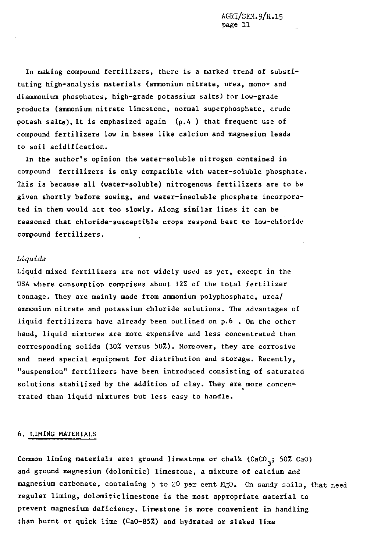In making compound fertilizers, there is a marked trend of substituting high-analysis materials (ammonium nitrate, urea, mono- and diammonium phosphates, high-grade potassium salts) for low-grade products (ammonium nitrate limestone, normal superphosphate, crude potash salts). It is emphasized again (p.4 ) that frequent use of compound fertilizers low in bases like calcium and magnesium leads to soil acidification.

In the author's opinion the water-soluble nitrogen contained in compound fertilizers is only compatible with water-soluble phosphate. This is because all (water-soluble) nitrogenous fertilizers are to be given shortly before sowing, and water-insoluble phosphate incorporated in them would act too slowly. Along similar lines it can be reasoned that chloride-susceptible crops respond best to low-chloride compound fertilizers.

# *Liquids*

Liquid mixed fertilizers are not widely used as yet, except in the USA where consumption comprises about 12% of the total fertilizer tonnage. They are mainly made from ammonium polyphosphate, urea/ ammonium nitrate and potassium chloride solutions. The advantages of liquid fertilizers have already been outlined on p.6 . On the other hand, liquid mixtures are more expensive and less concentrated than corresponding solids (30% versus 50%). Moreover, they are corrosive and need special equipment for distribution and storage. Recently, "suspension" fertilizers have been introduced consisting of saturated solutions stabilized by the addition of clay. They are more concentrated than liquid mixtures but less easy to handle.

#### 6. LIMING MATERIALS

Common liming materials are: ground limestone or chalk  $(CaCO<sub>3</sub>; 50%$  CaO) and ground magnesium (dolomitic) limestone, a mixture of calcium and magnesium carbonate, containing 5 to 20 per cent MgO. On sandy soils, that need regular liming, dolomiticlimestone is the most appropriate material to prevent magnesium deficiency. Limestone is more convenient in handling than burnt or quick lime (CaO-85%) and hydrated or slaked lime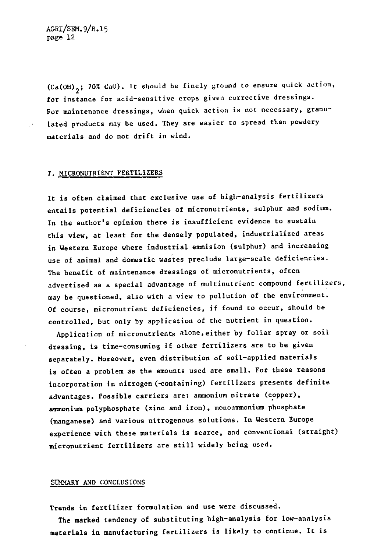(Ca(OH)<sub>2</sub>; 70% CaO). It should be finely ground to ensure quick action, for instance for acid-sensitive crops given corrective dressings. For maintenance dressings, when quick action is not necessary, granulated products may be used. They are easier to spread than powdery materials and do not drift in wind.

#### 7. MICRONUTRIENT FERTILIZERS

It is often claimed that exclusive use of high-analysis fertilizers entails potential deficiencies of micronutrients, sulphur and sodium. In the author's opinion there is insufficient evidence to sustain this view, at least for the densely populated, industrialized areas in Western Europe where industrial emmision (sulphur) and increasing use of animal and domestic wastes preclude large-scale deficiencies. The benefit of maintenance dressings of micronutrients, often advertised as a special advantage of multinutrient compound fertilizers, may be questioned, also with a view to pollution of the environment. Of course, micronutrient deficiencies, if found to occur, should be controlled, but only by application of the nutrient in question.

Application of micronutrients alone,either by foliar spray or soil dressing, is time-consuming if other fertilizers are to be given separately. Moreover, even distribution of soil-applied materials is often a problem as the amounts used are small. For these reasons incorporation in nitrogen (-containing) fertilizers presents definite advantages. Possible carriers are: ammonium nitrate (copper), ammonium polyphosphate (zinc and iron), monoammonium phosphate (manganese) and various nitrogenous solutions. In Western Europe experience with these materials is scarce, and conventional (straight) micronutrient fertilizers are still widely being used.

#### SUMMARY AND CONCLUSIONS

Trends in fertilizer formulation and use were discussed.

The marked tendency of substituting high-analysis for low-analysis materials in manufacturing fertilizers is likely to continue. It is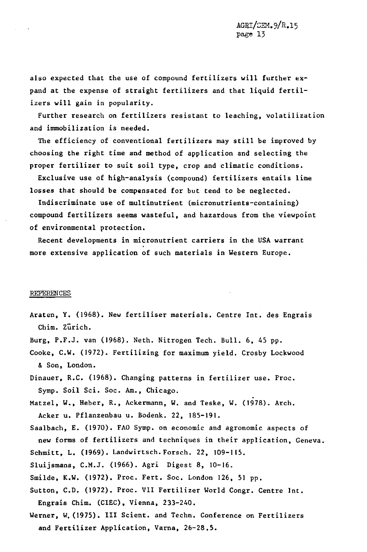also expected that the use of compound fertilizers will further expand at the expense of straight fertilizers and that liquid fertilizers will gain in popularity.

Further research on fertilizers resistant to leaching, volatilization and immobilization is needed.

The efficiency of conventional fertilizers may still be improved by choosing the right time and method of application and selecting the proper fertilizer to suit soil type, crop and climatic conditions.

Exclusive use of high-analysis (compound) fertilizers entails lime losses that should be compensated for but tend to be neglected.

Indiscriminate use of multinutrient (micronutrients-containing) compound fertilizers seems wasteful, and hazardous from the viewpoint of environmental protection.

Recent developments in micronutrient carriers in the USA warrant more extensive application of such materials in Western Europe.

#### REFERENCES

- Araten, Y. (1968). New fertiliser materials. Centre Int. des Engrais Chim. Zurich.
- Burg, P.F.J, van (1968). Neth. Nitrogen Tech. Bull. 6, 45 pp.
- Cooke, C.W. (1972). Fertilizing for maximum yield. Crosby Lockwood & Son, London.
- Dinauer, R.C. (1968). Changing patterns in fertilizer use. Proc. Symp. Soil Sei. Soc. Am., Chicago.
- Matzel, W., Heber, R., Ackermann, W. and Teske, W. (1978). Arch. Acker u. Pflanzenbau u. Bodenk. 22, 185-191.
- Saalbach, E. (1970). FAO Symp. on economic and agronomic aspects of new forms of fertilizers and techniques in their application, Geneva. Schmitt, L. (1969). Landwirtsch.Forsch. 22, 109-115.

Sluijsmans, C.M.J. (1966). Agri Digest 8, 10-16.

Smilde, K.W. (1972). Proc. Fert. Soc. London 126, 51 pp.

- Sutton, C.D. (1972). Proc. VII Fertilizer World Congr. Centre Int. Engrais Chim. (CIEC), Vienna, 233-240.
- Werner, W. (1975). III Scient. and Techn. Conference on Fertilizers and Fertilizer Application, Varna, 26-28.5.